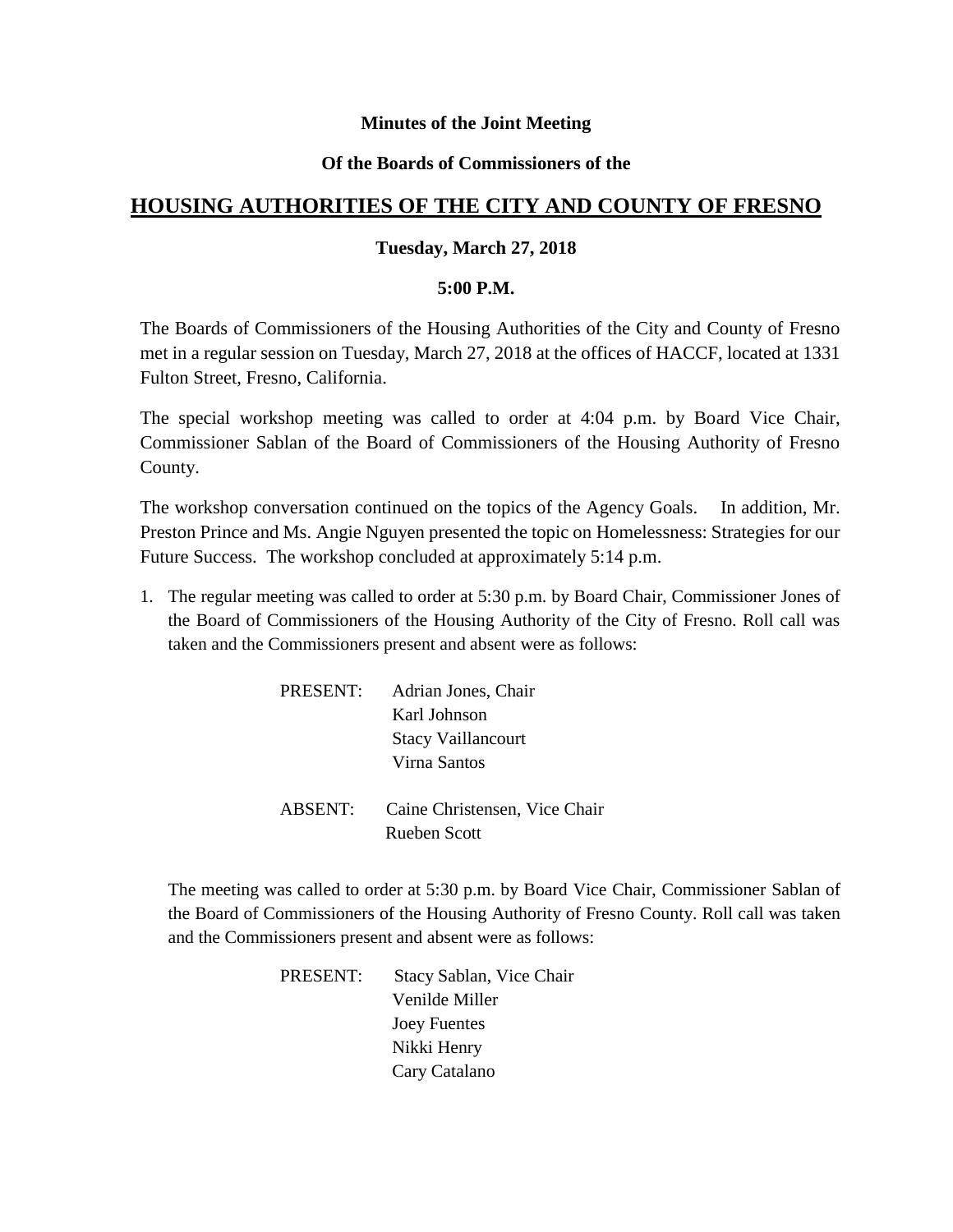### **Minutes of the Joint Meeting**

#### **Of the Boards of Commissioners of the**

# **HOUSING AUTHORITIES OF THE CITY AND COUNTY OF FRESNO**

#### **Tuesday, March 27, 2018**

#### **5:00 P.M.**

The Boards of Commissioners of the Housing Authorities of the City and County of Fresno met in a regular session on Tuesday, March 27, 2018 at the offices of HACCF, located at 1331 Fulton Street, Fresno, California.

The special workshop meeting was called to order at 4:04 p.m. by Board Vice Chair, Commissioner Sablan of the Board of Commissioners of the Housing Authority of Fresno County.

The workshop conversation continued on the topics of the Agency Goals. In addition, Mr. Preston Prince and Ms. Angie Nguyen presented the topic on Homelessness: Strategies for our Future Success. The workshop concluded at approximately 5:14 p.m.

1. The regular meeting was called to order at 5:30 p.m. by Board Chair, Commissioner Jones of the Board of Commissioners of the Housing Authority of the City of Fresno. Roll call was taken and the Commissioners present and absent were as follows:

| PRESENT: | Adrian Jones, Chair           |
|----------|-------------------------------|
|          | Karl Johnson                  |
|          | <b>Stacy Vaillancourt</b>     |
|          | Virna Santos                  |
| ABSENT:  | Caine Christensen, Vice Chair |
|          | Rueben Scott                  |

The meeting was called to order at 5:30 p.m. by Board Vice Chair, Commissioner Sablan of the Board of Commissioners of the Housing Authority of Fresno County. Roll call was taken and the Commissioners present and absent were as follows:

> PRESENT: Stacy Sablan, Vice Chair Venilde Miller Joey Fuentes Nikki Henry Cary Catalano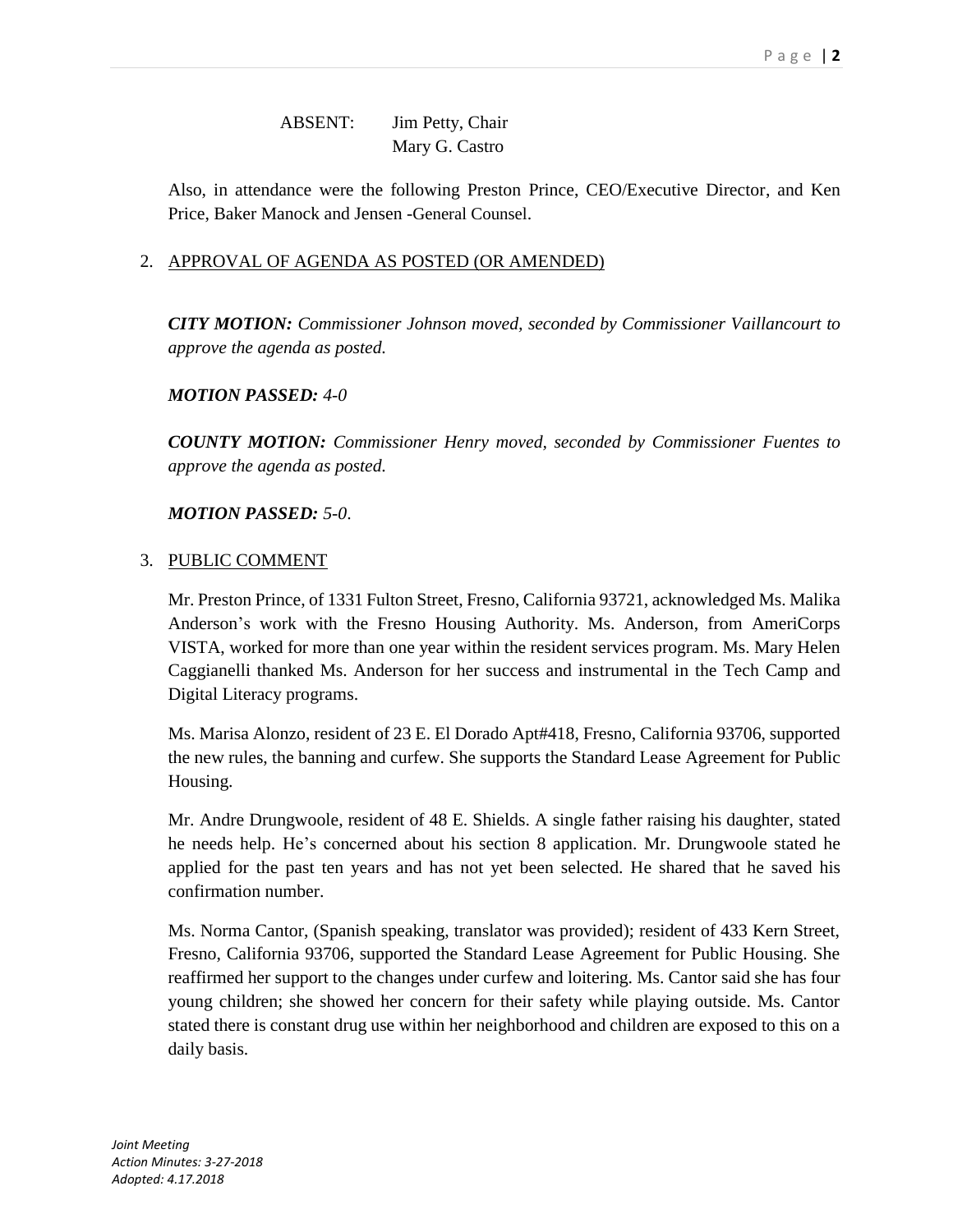## ABSENT: Jim Petty, Chair Mary G. Castro

Also, in attendance were the following Preston Prince, CEO/Executive Director, and Ken Price, Baker Manock and Jensen -General Counsel.

### 2. APPROVAL OF AGENDA AS POSTED (OR AMENDED)

*CITY MOTION: Commissioner Johnson moved, seconded by Commissioner Vaillancourt to approve the agenda as posted.*

### *MOTION PASSED: 4-0*

*COUNTY MOTION: Commissioner Henry moved, seconded by Commissioner Fuentes to approve the agenda as posted.*

### *MOTION PASSED: 5-0*.

#### 3. PUBLIC COMMENT

Mr. Preston Prince, of 1331 Fulton Street, Fresno, California 93721, acknowledged Ms. Malika Anderson's work with the Fresno Housing Authority. Ms. Anderson, from AmeriCorps VISTA, worked for more than one year within the resident services program. Ms. Mary Helen Caggianelli thanked Ms. Anderson for her success and instrumental in the Tech Camp and Digital Literacy programs.

Ms. Marisa Alonzo, resident of 23 E. El Dorado Apt#418, Fresno, California 93706, supported the new rules, the banning and curfew. She supports the Standard Lease Agreement for Public Housing.

Mr. Andre Drungwoole, resident of 48 E. Shields. A single father raising his daughter, stated he needs help. He's concerned about his section 8 application. Mr. Drungwoole stated he applied for the past ten years and has not yet been selected. He shared that he saved his confirmation number.

Ms. Norma Cantor, (Spanish speaking, translator was provided); resident of 433 Kern Street, Fresno, California 93706, supported the Standard Lease Agreement for Public Housing. She reaffirmed her support to the changes under curfew and loitering. Ms. Cantor said she has four young children; she showed her concern for their safety while playing outside. Ms. Cantor stated there is constant drug use within her neighborhood and children are exposed to this on a daily basis.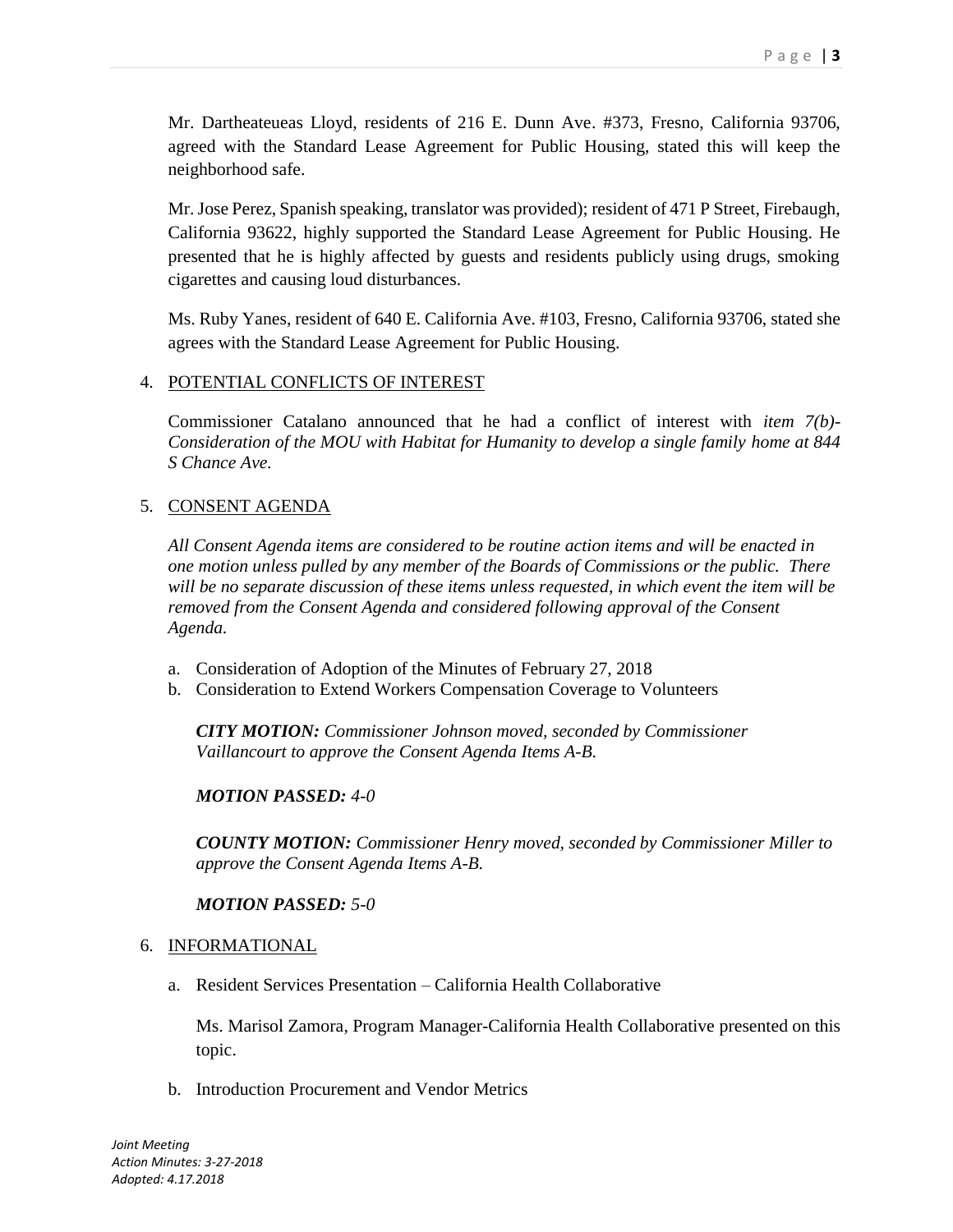Mr. Dartheateueas Lloyd, residents of 216 E. Dunn Ave. #373, Fresno, California 93706, agreed with the Standard Lease Agreement for Public Housing, stated this will keep the neighborhood safe.

Mr. Jose Perez, Spanish speaking, translator was provided); resident of 471 P Street, Firebaugh, California 93622, highly supported the Standard Lease Agreement for Public Housing. He presented that he is highly affected by guests and residents publicly using drugs, smoking cigarettes and causing loud disturbances.

Ms. Ruby Yanes, resident of 640 E. California Ave. #103, Fresno, California 93706, stated she agrees with the Standard Lease Agreement for Public Housing.

#### 4. POTENTIAL CONFLICTS OF INTEREST

Commissioner Catalano announced that he had a conflict of interest with *item 7(b)- Consideration of the MOU with Habitat for Humanity to develop a single family home at 844 S Chance Ave.*

### 5. CONSENT AGENDA

*All Consent Agenda items are considered to be routine action items and will be enacted in one motion unless pulled by any member of the Boards of Commissions or the public. There will be no separate discussion of these items unless requested, in which event the item will be removed from the Consent Agenda and considered following approval of the Consent Agenda.*

- a. Consideration of Adoption of the Minutes of February 27, 2018
- b. Consideration to Extend Workers Compensation Coverage to Volunteers

*CITY MOTION: Commissioner Johnson moved, seconded by Commissioner Vaillancourt to approve the Consent Agenda Items A-B.*

*MOTION PASSED: 4-0*

*COUNTY MOTION: Commissioner Henry moved, seconded by Commissioner Miller to approve the Consent Agenda Items A-B.*

### *MOTION PASSED: 5-0*

#### 6. INFORMATIONAL

a. Resident Services Presentation – California Health Collaborative

Ms. Marisol Zamora, Program Manager-California Health Collaborative presented on this topic.

b. Introduction Procurement and Vendor Metrics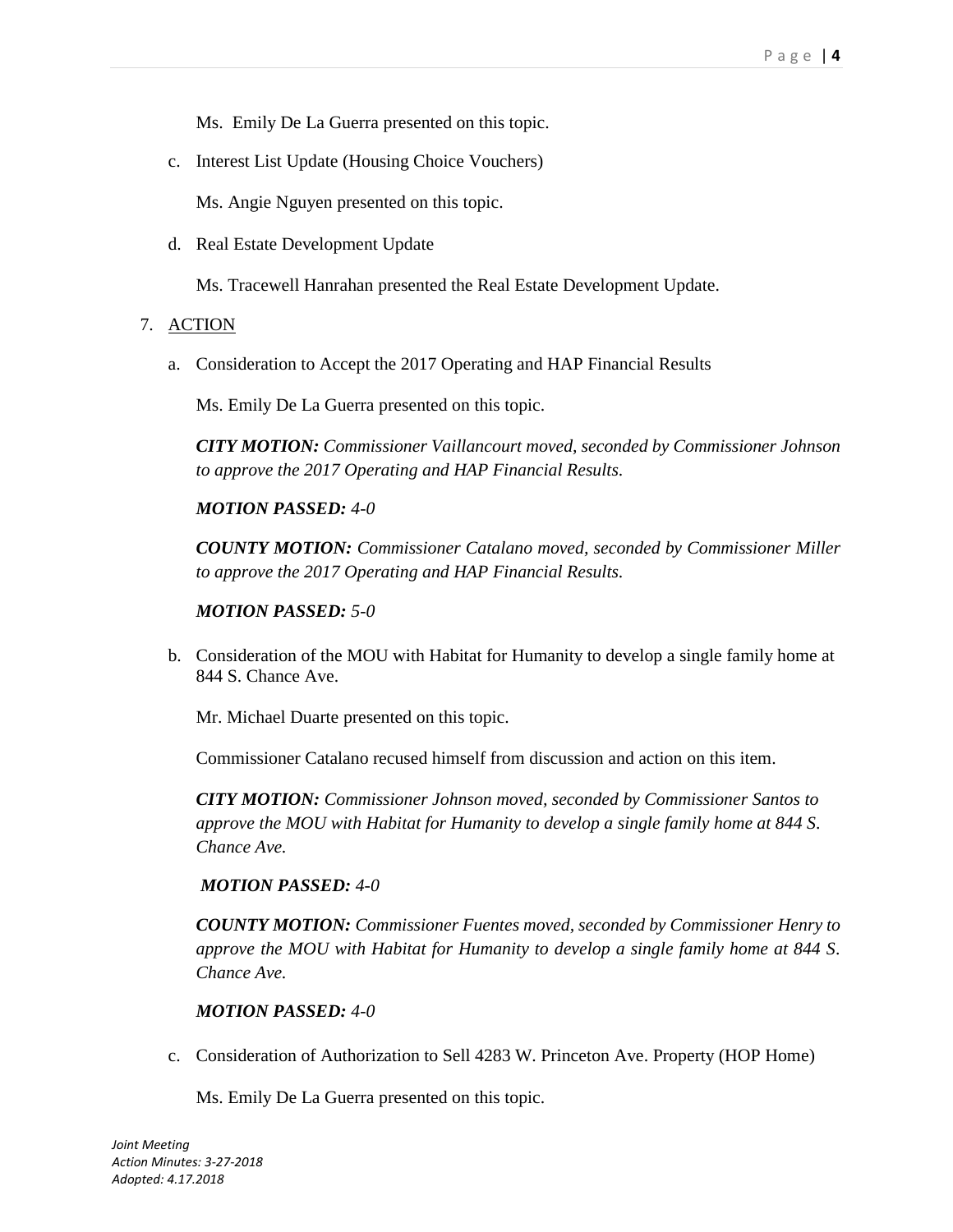Ms. Emily De La Guerra presented on this topic.

c. Interest List Update (Housing Choice Vouchers)

Ms. Angie Nguyen presented on this topic.

d. Real Estate Development Update

Ms. Tracewell Hanrahan presented the Real Estate Development Update.

- 7. ACTION
	- a. Consideration to Accept the 2017 Operating and HAP Financial Results

Ms. Emily De La Guerra presented on this topic.

*CITY MOTION: Commissioner Vaillancourt moved, seconded by Commissioner Johnson to approve the 2017 Operating and HAP Financial Results.*

*MOTION PASSED: 4-0*

*COUNTY MOTION: Commissioner Catalano moved, seconded by Commissioner Miller to approve the 2017 Operating and HAP Financial Results.*

### *MOTION PASSED: 5-0*

b. Consideration of the MOU with Habitat for Humanity to develop a single family home at 844 S. Chance Ave.

Mr. Michael Duarte presented on this topic.

Commissioner Catalano recused himself from discussion and action on this item.

*CITY MOTION: Commissioner Johnson moved, seconded by Commissioner Santos to approve the MOU with Habitat for Humanity to develop a single family home at 844 S. Chance Ave.*

### *MOTION PASSED: 4-0*

*COUNTY MOTION: Commissioner Fuentes moved, seconded by Commissioner Henry to approve the MOU with Habitat for Humanity to develop a single family home at 844 S. Chance Ave.*

### *MOTION PASSED: 4-0*

c. Consideration of Authorization to Sell 4283 W. Princeton Ave. Property (HOP Home)

Ms. Emily De La Guerra presented on this topic.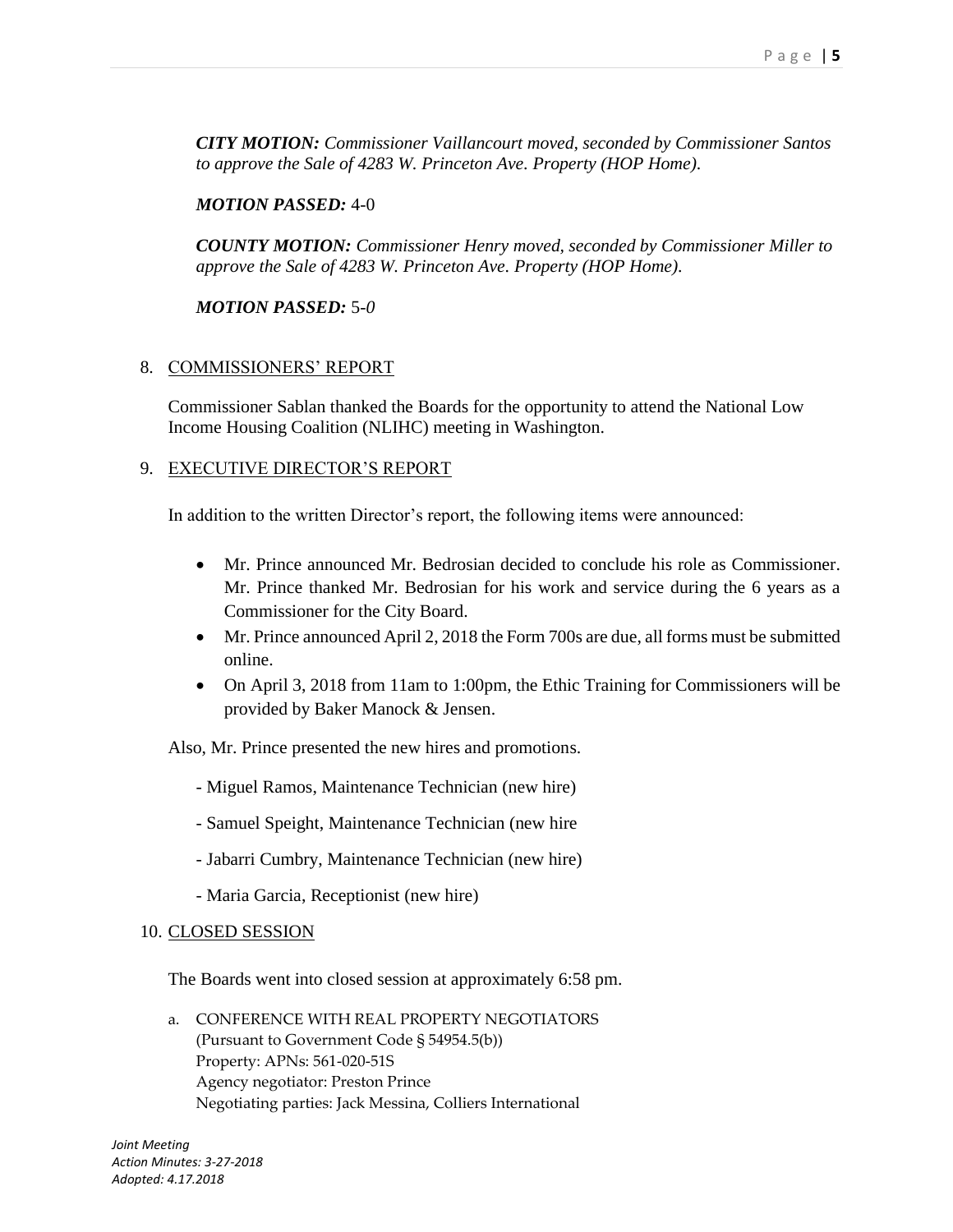*CITY MOTION: Commissioner Vaillancourt moved, seconded by Commissioner Santos to approve the Sale of 4283 W. Princeton Ave. Property (HOP Home).*

#### *MOTION PASSED:* 4-0

*COUNTY MOTION: Commissioner Henry moved, seconded by Commissioner Miller to approve the Sale of 4283 W. Princeton Ave. Property (HOP Home).*

*MOTION PASSED:* 5*-0*

#### 8. COMMISSIONERS' REPORT

Commissioner Sablan thanked the Boards for the opportunity to attend the National Low Income Housing Coalition (NLIHC) meeting in Washington.

#### 9. EXECUTIVE DIRECTOR'S REPORT

In addition to the written Director's report, the following items were announced:

- Mr. Prince announced Mr. Bedrosian decided to conclude his role as Commissioner. Mr. Prince thanked Mr. Bedrosian for his work and service during the 6 years as a Commissioner for the City Board.
- Mr. Prince announced April 2, 2018 the Form 700s are due, all forms must be submitted online.
- On April 3, 2018 from 11am to 1:00pm, the Ethic Training for Commissioners will be provided by Baker Manock & Jensen.

Also, Mr. Prince presented the new hires and promotions.

- Miguel Ramos, Maintenance Technician (new hire)
- Samuel Speight, Maintenance Technician (new hire
- Jabarri Cumbry, Maintenance Technician (new hire)
- Maria Garcia, Receptionist (new hire)

#### 10. CLOSED SESSION

The Boards went into closed session at approximately 6:58 pm.

a. CONFERENCE WITH REAL PROPERTY NEGOTIATORS (Pursuant to Government Code § 54954.5(b)) Property: APNs: 561-020-51S Agency negotiator: Preston Prince Negotiating parties: Jack Messina, Colliers International

*Joint Meeting Action Minutes: 3-27-2018 Adopted: 4.17.2018*